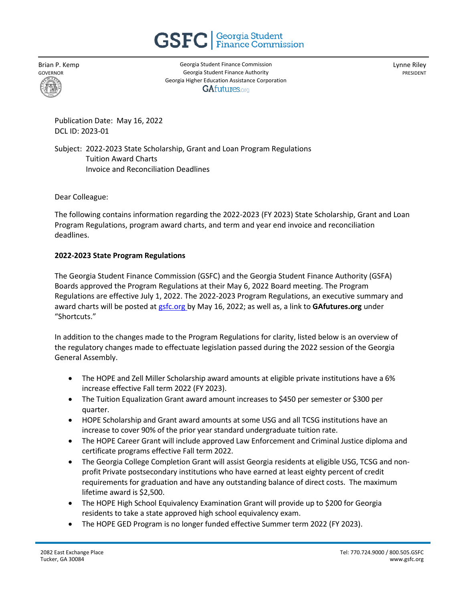

Brian P. Kemp GOVERNOR

Georgia Student Finance Commission Georgia Student Finance Authority Georgia Higher Education Assistance Corporation **GAfutures.org** 

Lynne Riley PRESIDENT

Publication Date: May 16, 2022 DCL ID: 2023-01

Subject: 2022-2023 State Scholarship, Grant and Loan Program Regulations Tuition Award Charts Invoice and Reconciliation Deadlines

Dear Colleague:

The following contains information regarding the 2022-2023 (FY 2023) State Scholarship, Grant and Loan Program Regulations, program award charts, and term and year end invoice and reconciliation deadlines.

## **2022-2023 State Program Regulations**

The Georgia Student Finance Commission (GSFC) and the Georgia Student Finance Authority (GSFA) Boards approved the Program Regulations at their May 6, 2022 Board meeting. The Program Regulations are effective July 1, 2022. The 2022-2023 Program Regulations, an executive summary and award charts will be posted at [gsfc.org](https://gsfc.georgia.gov/regulations) by May 16, 2022; as well as, a link to **GAfutures.org** under "Shortcuts."

In addition to the changes made to the Program Regulations for clarity, listed below is an overview of the regulatory changes made to effectuate legislation passed during the 2022 session of the Georgia General Assembly.

- The HOPE and Zell Miller Scholarship award amounts at eligible private institutions have a 6% increase effective Fall term 2022 (FY 2023).
- The Tuition Equalization Grant award amount increases to \$450 per semester or \$300 per quarter.
- HOPE Scholarship and Grant award amounts at some USG and all TCSG institutions have an increase to cover 90% of the prior year standard undergraduate tuition rate.
- The HOPE Career Grant will include approved Law Enforcement and Criminal Justice diploma and certificate programs effective Fall term 2022.
- The Georgia College Completion Grant will assist Georgia residents at eligible USG, TCSG and nonprofit Private postsecondary institutions who have earned at least eighty percent of credit requirements for graduation and have any outstanding balance of direct costs. The maximum lifetime award is \$2,500.
- The HOPE High School Equivalency Examination Grant will provide up to \$200 for Georgia residents to take a state approved high school equivalency exam.
- The HOPE GED Program is no longer funded effective Summer term 2022 (FY 2023).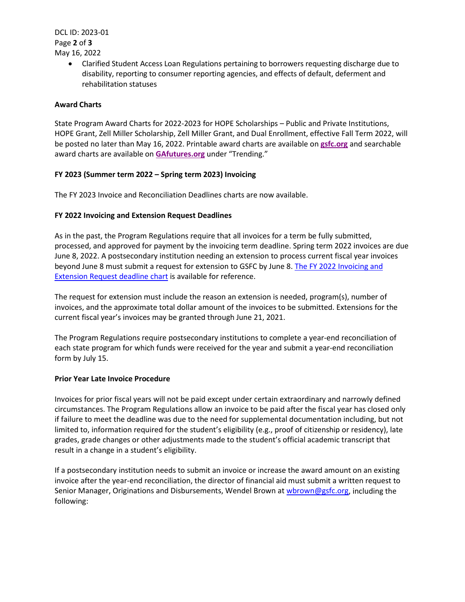DCL ID: 2023-01 Page **2** of **3** May 16, 2022

> • Clarified Student Access Loan Regulations pertaining to borrowers requesting discharge due to disability, reporting to consumer reporting agencies, and effects of default, deferment and rehabilitation statuses

# **Award Charts**

State Program Award Charts for 2022-2023 for HOPE Scholarships – Public and Private Institutions, HOPE Grant, Zell Miller Scholarship, Zell Miller Grant, and Dual Enrollment, effective Fall Term 2022, will be posted no later than May 16, 2022. Printable award charts are available on **[gsfc.org](https://gsfc.georgia.gov/sites/gsfc.georgia.gov/files/FY2019%20-%20Award%20Amounts%20-%20Combined.pdf)** and searchable award charts are available on **[GAfutures.org](https://apps.gsfc.org/SecureNextGen/dsp_award_amounts.cfm)** under "Trending."

# **FY 2023 (Summer term 2022 – Spring term 2023) Invoicing**

The FY 2023 Invoice and Reconciliation Deadlines charts are now available.

# **FY 2022 Invoicing and Extension Request Deadlines**

As in the past, the Program Regulations require that all invoices for a term be fully submitted, processed, and approved for payment by the invoicing term deadline. Spring term 2022 invoices are due June 8, 2022. A postsecondary institution needing an extension to process current fiscal year invoices beyond June 8 must submit a request for extension to GSFC by June 8. The FY 2022 Invoicing and [Extension Request deadline chart](https://staticapp.icpsc.com/icp/resources/mogile/1749290/22be5a6fb7ec7310844ecf93b0ece330.pdf) is available for reference.

The request for extension must include the reason an extension is needed, program(s), number of invoices, and the approximate total dollar amount of the invoices to be submitted. Extensions for the current fiscal year's invoices may be granted through June 21, 2021.

The Program Regulations require postsecondary institutions to complete a year-end reconciliation of each state program for which funds were received for the year and submit a year-end reconciliation form by July 15.

## **Prior Year Late Invoice Procedure**

Invoices for prior fiscal years will not be paid except under certain extraordinary and narrowly defined circumstances. The Program Regulations allow an invoice to be paid after the fiscal year has closed only if failure to meet the deadline was due to the need for supplemental documentation including, but not limited to, information required for the student's eligibility (e.g., proof of citizenship or residency), late grades, grade changes or other adjustments made to the student's official academic transcript that result in a change in a student's eligibility.

If a postsecondary institution needs to submit an invoice or increase the award amount on an existing invoice after the year-end reconciliation, the director of financial aid must submit a written request to Senior Manager, Originations and Disbursements, Wendel Brown at [wbrown@gsfc.org,](mailto:wbrown@gsfc.org) including the following: